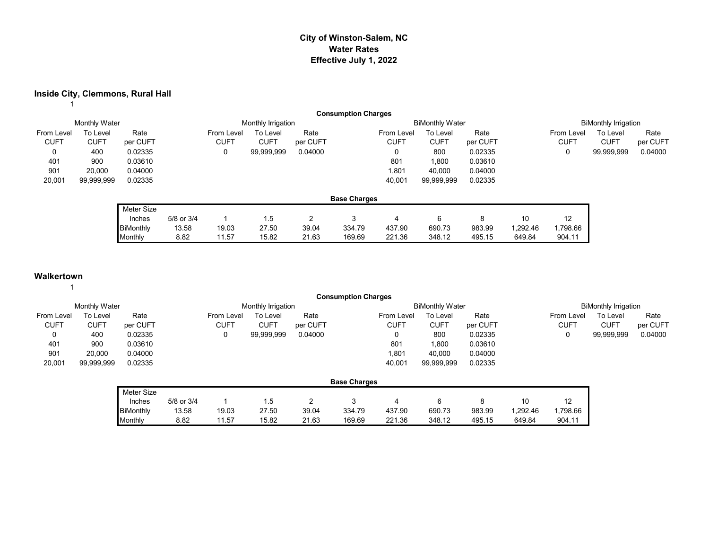#### **Inside City, Clemmons, Rural Hall**

1

|             |                  |                  |            |                    |             |          | <b>Consumption Charges</b> |                        |             |          |          |                             |             |          |  |
|-------------|------------------|------------------|------------|--------------------|-------------|----------|----------------------------|------------------------|-------------|----------|----------|-----------------------------|-------------|----------|--|
|             | Monthly Water    |                  |            | Monthly Irrigation |             |          |                            | <b>BiMonthly Water</b> |             |          |          | <b>BiMonthly Irrigation</b> |             |          |  |
| From Level  | To Level<br>Rate |                  | From Level |                    | To Level    | Rate     |                            | From Level             | To Level    | Rate     |          |                             | To Level    | Rate     |  |
| <b>CUFT</b> | <b>CUFT</b>      | per CUFT         |            | <b>CUFT</b>        | <b>CUFT</b> | per CUFT |                            | <b>CUFT</b>            | <b>CUFT</b> | per CUFT |          | <b>CUFT</b>                 | <b>CUFT</b> | per CUFT |  |
| 0           | 400              | 0.02335          |            | 0                  | 99,999,999  | 0.04000  |                            | 0                      | 800         | 0.02335  |          | 0                           | 99,999,999  | 0.04000  |  |
| 401         | 900              | 0.03610          |            |                    |             |          |                            | 801                    | 1,800       | 0.03610  |          |                             |             |          |  |
| 901         | 20,000           | 0.04000          |            |                    |             |          |                            | 1,801                  | 40,000      | 0.04000  |          |                             |             |          |  |
| 20,001      | 99,999,999       | 0.02335          |            |                    |             |          |                            | 40,001                 | 99,999,999  | 0.02335  |          |                             |             |          |  |
|             |                  |                  |            |                    |             |          | <b>Base Charges</b>        |                        |             |          |          |                             |             |          |  |
|             |                  | Meter Size       |            |                    |             |          |                            |                        |             |          |          |                             |             |          |  |
|             |                  | Inches           | 5/8 or 3/4 |                    | 1.5         | 2        | 3                          | -4                     | 6           | 8        | 10       | 12                          |             |          |  |
|             |                  | <b>BiMonthly</b> | 13.58      | 19.03              | 27.50       | 39.04    | 334.79                     | 437.90                 | 690.73      | 983.99   | 1,292.46 | 1,798.66                    |             |          |  |
|             |                  | Monthly          | 8.82       | 11.57              | 15.82       | 21.63    | 169.69                     | 221.36                 | 348.12      | 495.15   | 649.84   | 904.11                      |             |          |  |

#### **Walkertown**

1 From Level CUFT To Level CUFT Rate per CUFT From Level To Level CUFT CUFT Rate per CUFT From Level To Level CUFT CUFT Rate per CUFT From Level To Level CUFT CUFT Rate per CUFT 0 400 0.02335 0 99,999,999 0.04000 0 800 0.02335 0 99,999,999 0.04000 401 900 0.03610 801 1,800 0.03610 901 20,000 0.04000 1,801 40,000 0.04000 20,001 99,999,999 0.02335 40,001 99,999,999 0.02335 Meter Size Inches 5/8 or 3/4 1 1.5 2 3 4 6 8 10 12 BiMonthly 13.58 19.03 27.50 39.04 334.79 437.90 690.73 983.99 1,292.46 1,798.66 Monthly 8.82 11.57 15.82 21.63 169.69 221.36 348.12 495.15 649.84 904.11 **Base Charges Consumption Charges** Monthly Water Monthly Irrigation BiMonthly Water BiMonthly Irrigation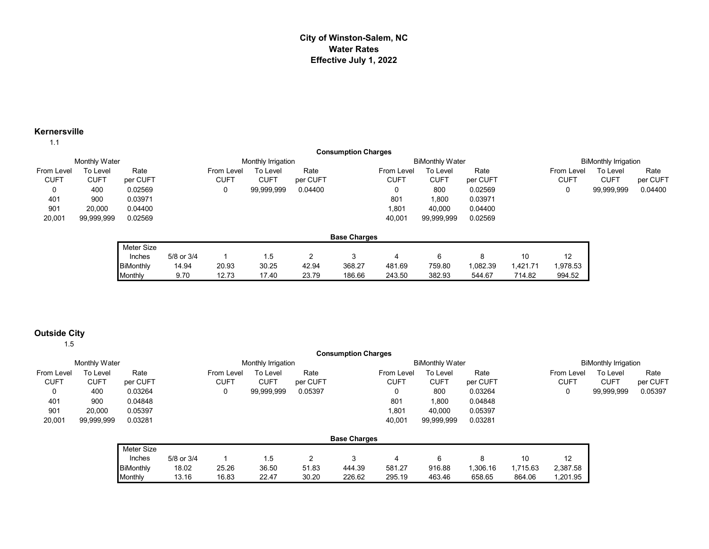**Kernersville**

1.1

|             |                  |            |                    |             |          | <b>Consumption Charges</b> |                        |          |                             |             |          |  |
|-------------|------------------|------------|--------------------|-------------|----------|----------------------------|------------------------|----------|-----------------------------|-------------|----------|--|
|             | Monthly Water    |            | Monthly Irrigation |             |          |                            | <b>BiMonthly Water</b> |          | <b>BiMonthly Irrigation</b> |             |          |  |
| From Level  | To Level<br>Rate |            | From Level         | To Level    | Rate     | From Level                 | To Level               | Rate     | From Level                  | To Level    | Rate     |  |
| <b>CUFT</b> | <b>CUFT</b>      | per CUFT   | CUFT               | <b>CUFT</b> | per CUFT | <b>CUFT</b>                | CUFT                   | per CUFT | CUFT                        | <b>CUFT</b> | per CUFT |  |
| 0           | 400              | 0.02569    | 0                  | 99,999,999  | 0.04400  | 0                          | 800                    | 0.02569  |                             | 99,999,999  | 0.04400  |  |
| 401         | 900              | 0.03971    |                    |             |          | 801                        | 1,800                  | 0.03971  |                             |             |          |  |
| 901         | 20,000           | 0.04400    |                    |             |          | 1,801                      | 40,000                 | 0.04400  |                             |             |          |  |
| 20,001      | 99,999,999       | 0.02569    |                    |             |          | 40,001                     | 99,999,999             | 0.02569  |                             |             |          |  |
|             |                  |            |                    |             |          | <b>Base Charges</b>        |                        |          |                             |             |          |  |
|             |                  | Motor Sizo |                    |             |          |                            |                        |          |                             |             |          |  |

| Meter Size       |            |                 |       |       |        |        |        |         |              |         |
|------------------|------------|-----------------|-------|-------|--------|--------|--------|---------|--------------|---------|
| Inches           | 5/8 or 3/4 |                 | . . ٻ | -     |        |        |        |         | 10           | 12      |
| <b>BiMonthly</b> | 14.94      | 20.93           | 30.25 | 42.94 | 368.27 | 481.69 | 759.80 | .082.39 | .421<br>۰۱., | .978.53 |
| <b>Monthly</b>   | 9.70       | - 70<br>د ، . د | 7.40  | 23.79 | 186.66 | 243.50 | 382.93 | 544.67  | 714.82       | 994.52  |

# **Outside City**

1.5

|             |                  |                  |            |             |                    |                  | <b>Consumption Charges</b> |                        |             |          |          |                             |             |          |  |
|-------------|------------------|------------------|------------|-------------|--------------------|------------------|----------------------------|------------------------|-------------|----------|----------|-----------------------------|-------------|----------|--|
|             | Monthly Water    |                  |            |             | Monthly Irrigation |                  |                            | <b>BiMonthly Water</b> |             |          |          | <b>BiMonthly Irrigation</b> |             |          |  |
| From Level  | To Level<br>Rate |                  |            | From Level  |                    | Rate<br>To Level |                            | From Level             | To Level    | Rate     |          | From Level                  | To Level    | Rate     |  |
| <b>CUFT</b> | <b>CUFT</b>      | per CUFT         |            | <b>CUFT</b> | <b>CUFT</b>        | per CUFT         |                            | <b>CUFT</b>            | <b>CUFT</b> | per CUFT |          | <b>CUFT</b>                 | <b>CUFT</b> | per CUFT |  |
| 0           | 400              | 0.03264          |            | 0           | 99,999,999         | 0.05397          |                            | 0                      | 800         | 0.03264  |          | 0                           | 99,999,999  | 0.05397  |  |
| 401         | 900              | 0.04848          |            |             |                    |                  |                            | 801                    | 1,800       | 0.04848  |          |                             |             |          |  |
| 901         | 20,000           | 0.05397          |            |             |                    |                  |                            | 1,801                  | 40,000      | 0.05397  |          |                             |             |          |  |
| 20,001      | 99,999,999       | 0.03281          |            |             |                    |                  |                            | 40,001                 | 99,999,999  | 0.03281  |          |                             |             |          |  |
|             |                  |                  |            |             |                    |                  | <b>Base Charges</b>        |                        |             |          |          |                             |             |          |  |
|             |                  | Meter Size       |            |             |                    |                  |                            |                        |             |          |          |                             |             |          |  |
|             |                  | Inches           | 5/8 or 3/4 |             | 1.5                | 2                | 3                          | 4                      | 6           | 8        | 10       | 12                          |             |          |  |
|             |                  | <b>BiMonthly</b> | 18.02      | 25.26       | 36.50              | 51.83            | 444.39                     | 581.27                 | 916.88      | 1,306.16 | 1,715.63 | 2,387.58                    |             |          |  |
|             |                  | Monthly          | 13.16      | 16.83       | 22.47              | 30.20            | 226.62                     | 295.19                 | 463.46      | 658.65   | 864.06   | 1,201.95                    |             |          |  |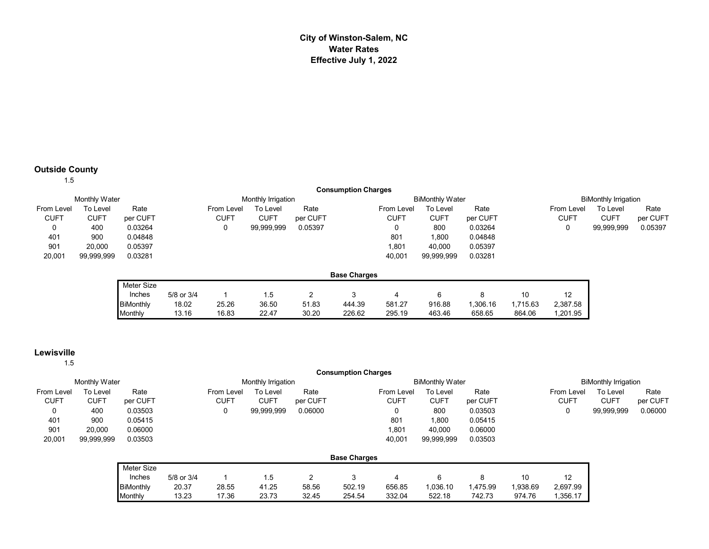# **Outside County**

|                           |                                    |                                                 |                     |                           |                         |                  | <b>Consumption Charges</b> |                                       |                                      |                                          |                |                             |                         |                  |  |
|---------------------------|------------------------------------|-------------------------------------------------|---------------------|---------------------------|-------------------------|------------------|----------------------------|---------------------------------------|--------------------------------------|------------------------------------------|----------------|-----------------------------|-------------------------|------------------|--|
|                           | Monthly Water                      |                                                 |                     |                           | Monthly Irrigation      |                  |                            |                                       | <b>BiMonthly Water</b>               |                                          |                | <b>BiMonthly Irrigation</b> |                         |                  |  |
| From Level<br><b>CUFT</b> | To Level<br><b>CUFT</b>            | Rate<br>per CUFT                                |                     | From Level<br><b>CUFT</b> | To Level<br><b>CUFT</b> | Rate<br>per CUFT |                            | From Level<br><b>CUFT</b>             | To Level<br><b>CUFT</b>              | Rate<br>per CUFT                         |                | From Level<br><b>CUFT</b>   | To Level<br><b>CUFT</b> | Rate<br>per CUFT |  |
| 0<br>401<br>901<br>20,001 | 400<br>900<br>20,000<br>99,999,999 | 0.03264<br>0.04848<br>0.05397<br>0.03281        |                     | 0                         | 99,999,999              | 0.05397          |                            | $\mathbf 0$<br>801<br>1,801<br>40,001 | 800<br>1,800<br>40,000<br>99,999,999 | 0.03264<br>0.04848<br>0.05397<br>0.03281 |                | 0                           | 99,999,999              | 0.05397          |  |
|                           |                                    |                                                 |                     |                           |                         |                  | <b>Base Charges</b>        |                                       |                                      |                                          |                |                             |                         |                  |  |
|                           |                                    | Meter Size<br><b>Inches</b><br><b>BiMonthly</b> | 5/8 or 3/4<br>18.02 | 25.26                     | 1.5<br>36.50            | 2<br>51.83       | 3<br>444.39                | 4<br>581.27                           | 6<br>916.88                          | 8<br>1,306.16                            | 10<br>1,715.63 | 12<br>2,387.58              |                         |                  |  |

Monthly 13.16 16.83 22.47 30.20 226.62 295.19 463.46 658.65 864.06 1,201.95

### **Lewisville**

1.5

|               |            |          |            |                    |          | <b>Consumption Charges</b> |                        |          |             |                             |          |  |
|---------------|------------|----------|------------|--------------------|----------|----------------------------|------------------------|----------|-------------|-----------------------------|----------|--|
| Monthly Water |            |          |            | Monthly Irrigation |          |                            | <b>BiMonthly Water</b> |          |             | <b>BiMonthly Irrigation</b> |          |  |
| From Level    | To Level   | Rate     | From Level | To Level           | Rate     | From Level                 | To Level               | Rate     | From Level  | To Level                    | Rate     |  |
| <b>CUFT</b>   | CUFT       | per CUFT | CUF1       | CUFT               | per CUFT | CUFT                       | CUFT                   | per CUFT | <b>CUFT</b> | CUFT                        | per CUFT |  |
| 0             | 400        | 0.03503  |            | 99.999.999         | 0.06000  | 0                          | 800                    | 0.03503  |             | 99.999.999                  | 0.06000  |  |
| 401           | 900        | 0.05415  |            |                    |          | 801                        | 1,800                  | 0.05415  |             |                             |          |  |
| 901           | 20.000     | 0.06000  |            |                    |          | 1,801                      | 40,000                 | 0.06000  |             |                             |          |  |
| 20,001        | 99,999,999 | 0.03503  |            |                    |          | 40,001                     | 99,999,999             | 0.03503  |             |                             |          |  |

|                  | <b>Base Charges</b> |       |       |       |        |        |         |         |         |          |  |  |  |
|------------------|---------------------|-------|-------|-------|--------|--------|---------|---------|---------|----------|--|--|--|
| Meter Size       |                     |       |       |       |        |        |         |         |         |          |  |  |  |
| <b>Inches</b>    | 5/8 or 3/4          |       | l .5  |       |        |        |         |         |         | 12       |  |  |  |
| <b>BiMonthly</b> | 20.37               | 28.55 | 41.25 | 58.56 | 502.19 | 656.85 | .036.10 | .475.99 | .938.69 | 2.697.99 |  |  |  |
| Monthly          | 13.23               | 17.36 | 23.73 | 32.45 | 254.54 | 332.04 | 522.18  | 742.73  | 974.76  | 356.17,  |  |  |  |